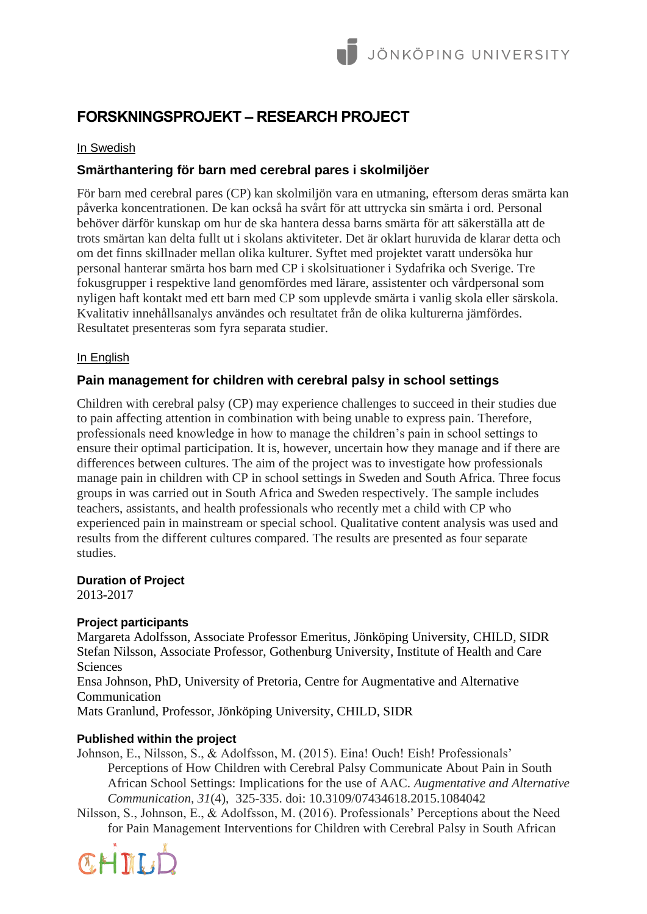# **FORSKNINGSPROJEKT – RESEARCH PROJECT**

## In Swedish

## **Smärthantering för barn med cerebral pares i skolmiljöer**

För barn med cerebral pares (CP) kan skolmiljön vara en utmaning, eftersom deras smärta kan påverka koncentrationen. De kan också ha svårt för att uttrycka sin smärta i ord. Personal behöver därför kunskap om hur de ska hantera dessa barns smärta för att säkerställa att de trots smärtan kan delta fullt ut i skolans aktiviteter. Det är oklart huruvida de klarar detta och om det finns skillnader mellan olika kulturer. Syftet med projektet varatt undersöka hur personal hanterar smärta hos barn med CP i skolsituationer i Sydafrika och Sverige. Tre fokusgrupper i respektive land genomfördes med lärare, assistenter och vårdpersonal som nyligen haft kontakt med ett barn med CP som upplevde smärta i vanlig skola eller särskola. Kvalitativ innehållsanalys användes och resultatet från de olika kulturerna jämfördes. Resultatet presenteras som fyra separata studier.

#### In English

## **Pain management for children with cerebral palsy in school settings**

Children with cerebral palsy (CP) may experience challenges to succeed in their studies due to pain affecting attention in combination with being unable to express pain. Therefore, professionals need knowledge in how to manage the children's pain in school settings to ensure their optimal participation. It is, however, uncertain how they manage and if there are differences between cultures. The aim of the project was to investigate how professionals manage pain in children with CP in school settings in Sweden and South Africa. Three focus groups in was carried out in South Africa and Sweden respectively. The sample includes teachers, assistants, and health professionals who recently met a child with CP who experienced pain in mainstream or special school. Qualitative content analysis was used and results from the different cultures compared. The results are presented as four separate studies.

#### **Duration of Project**

2013-2017

## **Project participants**

Margareta Adolfsson, Associate Professor Emeritus, Jönköping University, CHILD, SIDR Stefan Nilsson, Associate Professor, Gothenburg University, Institute of Health and Care **Sciences** 

Ensa Johnson, PhD, University of Pretoria, Centre for Augmentative and Alternative Communication

Mats Granlund, Professor, Jönköping University, CHILD, SIDR

#### **Published within the project**

Johnson, E., Nilsson, S., & Adolfsson, M. (2015). Eina! Ouch! Eish! Professionals' Perceptions of How Children with Cerebral Palsy Communicate About Pain in South African School Settings: Implications for the use of AAC. *Augmentative and Alternative Communication, 31*(4), 325-335. doi: 10.3109/07434618.2015.1084042

Nilsson, S., Johnson, E., & Adolfsson, M. (2016). Professionals' Perceptions about the Need for Pain Management Interventions for Children with Cerebral Palsy in South African